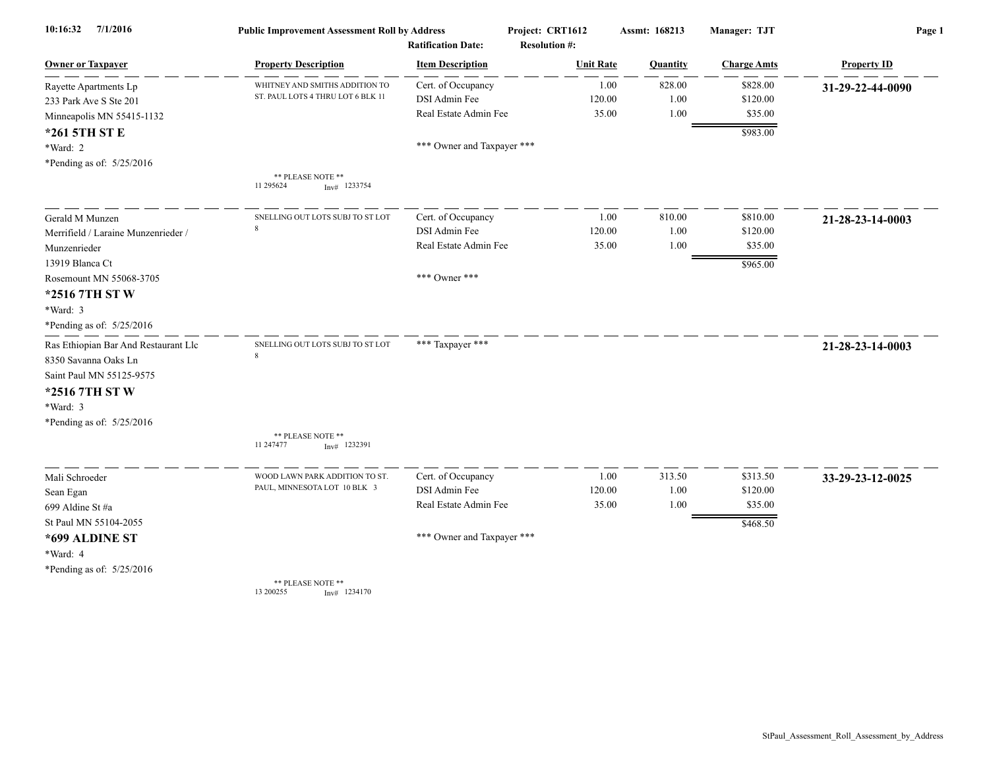| 10:16:32<br>7/1/2016                 | <b>Public Improvement Assessment Roll by Address</b><br><b>Ratification Date:</b> |                            | Project: CRT1612<br><b>Resolution #:</b> | Assmt: 168213 | Manager: TJT       | Page 1             |
|--------------------------------------|-----------------------------------------------------------------------------------|----------------------------|------------------------------------------|---------------|--------------------|--------------------|
| <b>Owner or Taxpayer</b>             | <b>Property Description</b>                                                       | <b>Item Description</b>    | <b>Unit Rate</b>                         | Quantity      | <b>Charge Amts</b> | <b>Property ID</b> |
| Rayette Apartments Lp                | WHITNEY AND SMITHS ADDITION TO                                                    | Cert. of Occupancy         | 1.00                                     | 828.00        | \$828.00           | 31-29-22-44-0090   |
| 233 Park Ave S Ste 201               | ST. PAUL LOTS 4 THRU LOT 6 BLK 11                                                 | DSI Admin Fee              | 120.00                                   | 1.00          | \$120.00           |                    |
| Minneapolis MN 55415-1132            |                                                                                   | Real Estate Admin Fee      | 35.00                                    | 1.00          | \$35.00            |                    |
| *261 5TH ST E                        |                                                                                   |                            |                                          |               | \$983.00           |                    |
| *Ward: 2                             |                                                                                   | *** Owner and Taxpayer *** |                                          |               |                    |                    |
| *Pending as of: 5/25/2016            |                                                                                   |                            |                                          |               |                    |                    |
|                                      | ** PLEASE NOTE **<br>11 295624<br>$Inv#$ 1233754                                  |                            |                                          |               |                    |                    |
| Gerald M Munzen                      | SNELLING OUT LOTS SUBJ TO ST LOT                                                  | Cert. of Occupancy         | 1.00                                     | 810.00        | \$810.00           | 21-28-23-14-0003   |
| Merrifield / Laraine Munzenrieder /  | $\mathbf{\mathsf{R}}$                                                             | DSI Admin Fee              | 120.00                                   | 1.00          | \$120.00           |                    |
| Munzenrieder                         |                                                                                   | Real Estate Admin Fee      | 35.00                                    | 1.00          | \$35.00            |                    |
| 13919 Blanca Ct                      |                                                                                   |                            |                                          |               | \$965.00           |                    |
| Rosemount MN 55068-3705              |                                                                                   | *** Owner ***              |                                          |               |                    |                    |
| *2516 7TH ST W                       |                                                                                   |                            |                                          |               |                    |                    |
| *Ward: 3                             |                                                                                   |                            |                                          |               |                    |                    |
| *Pending as of: 5/25/2016            |                                                                                   |                            |                                          |               |                    |                    |
| Ras Ethiopian Bar And Restaurant Llc | SNELLING OUT LOTS SUBJ TO ST LOT                                                  | *** Taxpayer ***           |                                          |               |                    | 21-28-23-14-0003   |
| 8350 Savanna Oaks Ln                 | $\mathbf{Q}$                                                                      |                            |                                          |               |                    |                    |
| Saint Paul MN 55125-9575             |                                                                                   |                            |                                          |               |                    |                    |
| *2516 7TH ST W                       |                                                                                   |                            |                                          |               |                    |                    |
| *Ward: 3                             |                                                                                   |                            |                                          |               |                    |                    |
| *Pending as of: 5/25/2016            |                                                                                   |                            |                                          |               |                    |                    |
|                                      | ** PLEASE NOTE **                                                                 |                            |                                          |               |                    |                    |
|                                      | 11 247477<br>$Inv#$ 1232391                                                       |                            |                                          |               |                    |                    |
| Mali Schroeder                       | WOOD LAWN PARK ADDITION TO ST.                                                    | Cert. of Occupancy         | 1.00                                     | 313.50        | \$313.50           | 33-29-23-12-0025   |
| Sean Egan                            | PAUL, MINNESOTA LOT 10 BLK 3                                                      | DSI Admin Fee              | 120.00                                   | 1.00          | \$120.00           |                    |
| 699 Aldine St #a                     |                                                                                   | Real Estate Admin Fee      | 35.00                                    | 1.00          | \$35.00            |                    |
| St Paul MN 55104-2055                |                                                                                   |                            |                                          |               | \$468.50           |                    |
| *699 ALDINE ST                       |                                                                                   | *** Owner and Taxpayer *** |                                          |               |                    |                    |
| *Ward: 4                             |                                                                                   |                            |                                          |               |                    |                    |
| *Pending as of: 5/25/2016            |                                                                                   |                            |                                          |               |                    |                    |
|                                      | ** PLEASE NOTE **<br>13 200255<br>$Inv#$ 1234170                                  |                            |                                          |               |                    |                    |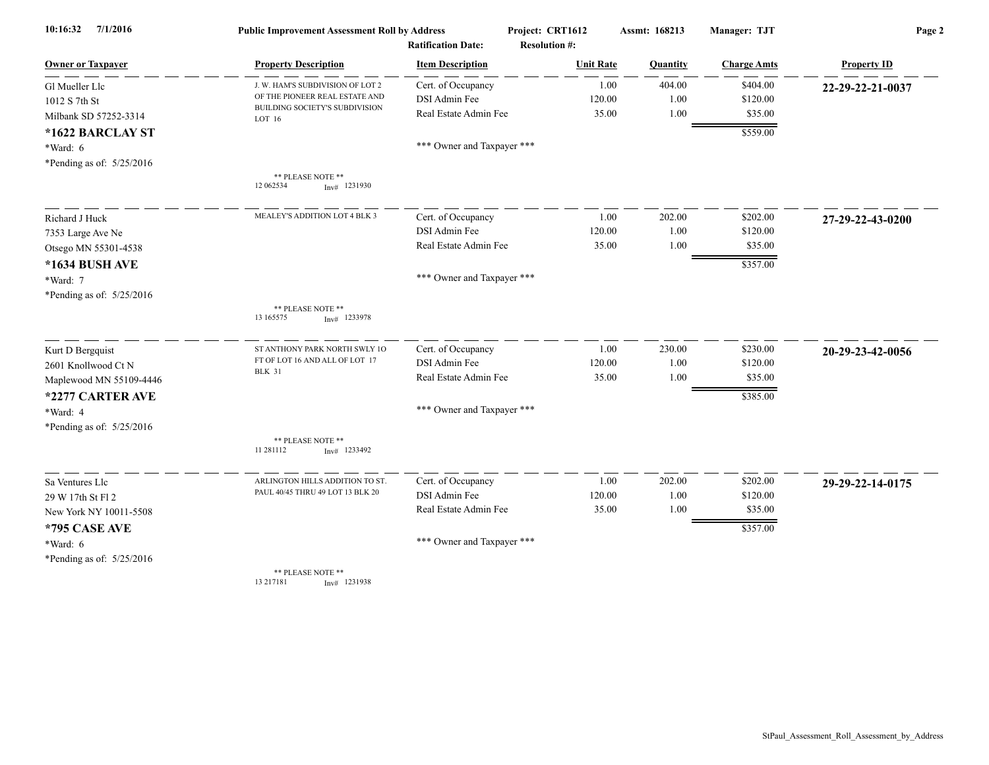| 7/1/2016<br>10:16:32      |                                                                  | Project: CRT1612<br><b>Public Improvement Assessment Roll by Address</b> |                      | Assmt: 168213 | Manager: TJT       | Page 2             |
|---------------------------|------------------------------------------------------------------|--------------------------------------------------------------------------|----------------------|---------------|--------------------|--------------------|
|                           |                                                                  | <b>Ratification Date:</b>                                                | <b>Resolution #:</b> |               |                    |                    |
| <b>Owner or Taxpayer</b>  | <b>Property Description</b>                                      | <b>Item Description</b>                                                  | <b>Unit Rate</b>     | Quantity      | <b>Charge Amts</b> | <b>Property ID</b> |
| Gl Mueller Llc            | J. W. HAM'S SUBDIVISION OF LOT 2                                 | Cert. of Occupancy                                                       | 1.00                 | 404.00        | \$404.00           | 22-29-22-21-0037   |
| 1012 S 7th St             | OF THE PIONEER REAL ESTATE AND<br>BUILDING SOCIETY'S SUBDIVISION | DSI Admin Fee                                                            | 120.00               | 1.00          | \$120.00           |                    |
| Milbank SD 57252-3314     | LOT 16                                                           | Real Estate Admin Fee                                                    | 35.00                | $1.00\,$      | \$35.00            |                    |
| *1622 BARCLAY ST          |                                                                  |                                                                          |                      |               | \$559.00           |                    |
| *Ward: 6                  |                                                                  | *** Owner and Taxpayer ***                                               |                      |               |                    |                    |
| *Pending as of: 5/25/2016 |                                                                  |                                                                          |                      |               |                    |                    |
|                           | ** PLEASE NOTE **<br>12 062534<br>$Inv#$ 1231930                 |                                                                          |                      |               |                    |                    |
| Richard J Huck            | MEALEY'S ADDITION LOT 4 BLK 3                                    | Cert. of Occupancy                                                       | 1.00                 | 202.00        | \$202.00           | 27-29-22-43-0200   |
| 7353 Large Ave Ne         |                                                                  | DSI Admin Fee                                                            | 120.00               | 1.00          | \$120.00           |                    |
| Otsego MN 55301-4538      |                                                                  | Real Estate Admin Fee                                                    | 35.00                | 1.00          | \$35.00            |                    |
| *1634 BUSH AVE            |                                                                  |                                                                          |                      |               | \$357.00           |                    |
| *Ward: 7                  |                                                                  | *** Owner and Taxpayer ***                                               |                      |               |                    |                    |
| *Pending as of: 5/25/2016 |                                                                  |                                                                          |                      |               |                    |                    |
|                           | ** PLEASE NOTE **<br>13 165575<br>$Inv#$ 1233978                 |                                                                          |                      |               |                    |                    |
| Kurt D Bergquist          | ST ANTHONY PARK NORTH SWLY 10                                    | Cert. of Occupancy                                                       | 1.00                 | 230.00        | \$230.00           | 20-29-23-42-0056   |
| 2601 Knollwood Ct N       | FT OF LOT 16 AND ALL OF LOT 17                                   | DSI Admin Fee                                                            | 120.00               | 1.00          | \$120.00           |                    |
| Maplewood MN 55109-4446   | <b>BLK 31</b>                                                    | Real Estate Admin Fee                                                    | 35.00                | 1.00          | \$35.00            |                    |
| *2277 CARTER AVE          |                                                                  |                                                                          |                      |               | \$385.00           |                    |
| *Ward: 4                  |                                                                  | *** Owner and Taxpayer ***                                               |                      |               |                    |                    |
| *Pending as of: 5/25/2016 |                                                                  |                                                                          |                      |               |                    |                    |
|                           | ** PLEASE NOTE **<br>11 281112<br>$Inv#$ 1233492                 |                                                                          |                      |               |                    |                    |
| Sa Ventures Llc           | ARLINGTON HILLS ADDITION TO ST.                                  | Cert. of Occupancy                                                       | 1.00                 | 202.00        | \$202.00           | 29-29-22-14-0175   |
| 29 W 17th St Fl 2         | PAUL 40/45 THRU 49 LOT 13 BLK 20                                 | DSI Admin Fee                                                            | 120.00               | 1.00          | \$120.00           |                    |
| New York NY 10011-5508    |                                                                  | Real Estate Admin Fee                                                    | 35.00                | 1.00          | \$35.00            |                    |
| *795 CASE AVE             |                                                                  |                                                                          |                      |               | \$357.00           |                    |
| *Ward: 6                  |                                                                  | *** Owner and Taxpayer ***                                               |                      |               |                    |                    |
| *Pending as of: 5/25/2016 |                                                                  |                                                                          |                      |               |                    |                    |
|                           | ** PLEASE NOTE **<br>13 217181<br>$Inv#$ 1231938                 |                                                                          |                      |               |                    |                    |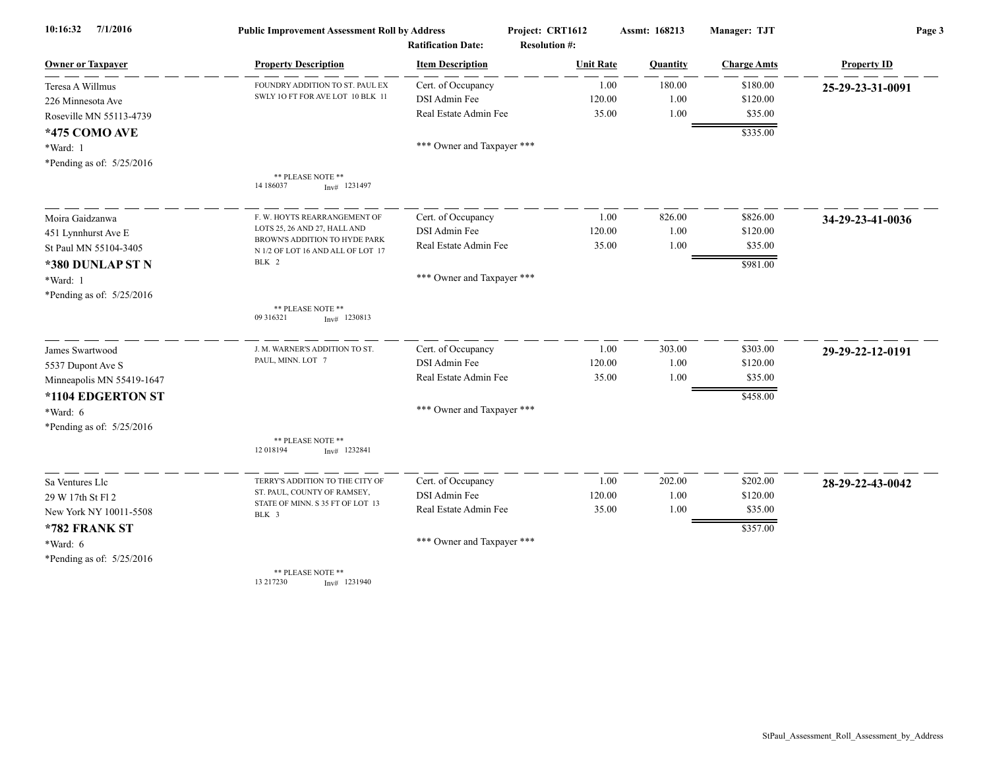| 7/1/2016<br>10:16:32      |                                                                    | Project: CRT1612<br><b>Public Improvement Assessment Roll by Address</b> |                                          | Assmt: 168213  | Manager: TJT       | Page 3             |  |
|---------------------------|--------------------------------------------------------------------|--------------------------------------------------------------------------|------------------------------------------|----------------|--------------------|--------------------|--|
| <b>Owner or Taxpayer</b>  | <b>Property Description</b>                                        | <b>Ratification Date:</b><br><b>Item Description</b>                     | <b>Resolution #:</b><br><b>Unit Rate</b> | Quantity       | <b>Charge Amts</b> | <b>Property ID</b> |  |
| Teresa A Willmus          | FOUNDRY ADDITION TO ST. PAUL EX                                    | Cert. of Occupancy                                                       |                                          | 180.00<br>1.00 | \$180.00           | 25-29-23-31-0091   |  |
| 226 Minnesota Ave         | SWLY 10 FT FOR AVE LOT 10 BLK 11                                   | DSI Admin Fee                                                            | 120.00                                   | 1.00           | \$120.00           |                    |  |
| Roseville MN 55113-4739   |                                                                    | Real Estate Admin Fee                                                    | 35.00                                    | 1.00           | \$35.00            |                    |  |
| <b>*475 COMO AVE</b>      |                                                                    |                                                                          |                                          |                | \$335.00           |                    |  |
| *Ward: 1                  |                                                                    | *** Owner and Taxpayer ***                                               |                                          |                |                    |                    |  |
| *Pending as of: 5/25/2016 |                                                                    |                                                                          |                                          |                |                    |                    |  |
|                           | ** PLEASE NOTE **<br>14 186037<br>$Inv#$ 1231497                   |                                                                          |                                          |                |                    |                    |  |
| Moira Gaidzanwa           | F. W. HOYTS REARRANGEMENT OF                                       | Cert. of Occupancy                                                       |                                          | 1.00<br>826.00 | \$826.00           | 34-29-23-41-0036   |  |
| 451 Lynnhurst Ave E       | LOTS 25, 26 AND 27, HALL AND                                       | DSI Admin Fee                                                            | 120.00                                   | 1.00           | \$120.00           |                    |  |
| St Paul MN 55104-3405     | BROWN'S ADDITION TO HYDE PARK<br>N 1/2 OF LOT 16 AND ALL OF LOT 17 | Real Estate Admin Fee                                                    | 35.00                                    | 1.00           | \$35.00            |                    |  |
| *380 DUNLAP ST N          | BLK 2                                                              |                                                                          |                                          |                | \$981.00           |                    |  |
| *Ward: 1                  |                                                                    | *** Owner and Taxpayer ***                                               |                                          |                |                    |                    |  |
| *Pending as of: 5/25/2016 |                                                                    |                                                                          |                                          |                |                    |                    |  |
|                           | ** PLEASE NOTE **<br>09 31 63 21<br>$Inv#$ 1230813                 |                                                                          |                                          |                |                    |                    |  |
| James Swartwood           | J. M. WARNER'S ADDITION TO ST.                                     | Cert. of Occupancy                                                       |                                          | 1.00<br>303.00 | \$303.00           | 29-29-22-12-0191   |  |
| 5537 Dupont Ave S         | PAUL, MINN. LOT 7                                                  | DSI Admin Fee                                                            | 120.00                                   | 1.00           | \$120.00           |                    |  |
| Minneapolis MN 55419-1647 |                                                                    | Real Estate Admin Fee                                                    | 35.00                                    | 1.00           | \$35.00            |                    |  |
| *1104 EDGERTON ST         |                                                                    |                                                                          |                                          |                | \$458.00           |                    |  |
| $*Ward: 6$                |                                                                    | *** Owner and Taxpayer ***                                               |                                          |                |                    |                    |  |
| *Pending as of: 5/25/2016 |                                                                    |                                                                          |                                          |                |                    |                    |  |
|                           | ** PLEASE NOTE **<br>12 018194<br>$Inv#$ 1232841                   |                                                                          |                                          |                |                    |                    |  |
| Sa Ventures Llc           | TERRY'S ADDITION TO THE CITY OF                                    | Cert. of Occupancy                                                       |                                          | 1.00<br>202.00 | \$202.00           | 28-29-22-43-0042   |  |
| 29 W 17th St Fl 2         | ST. PAUL, COUNTY OF RAMSEY,                                        | DSI Admin Fee                                                            | 120.00                                   | 1.00           | \$120.00           |                    |  |
| New York NY 10011-5508    | STATE OF MINN. S 35 FT OF LOT 13<br>BLK 3                          | Real Estate Admin Fee                                                    | 35.00                                    | 1.00           | \$35.00            |                    |  |
| *782 FRANK ST             |                                                                    |                                                                          |                                          |                | \$357.00           |                    |  |
| $*Ward: 6$                |                                                                    | *** Owner and Taxpayer ***                                               |                                          |                |                    |                    |  |
| *Pending as of: 5/25/2016 |                                                                    |                                                                          |                                          |                |                    |                    |  |
|                           | ** PLEASE NOTE **<br>13 217230<br>$Inv#$ 1231940                   |                                                                          |                                          |                |                    |                    |  |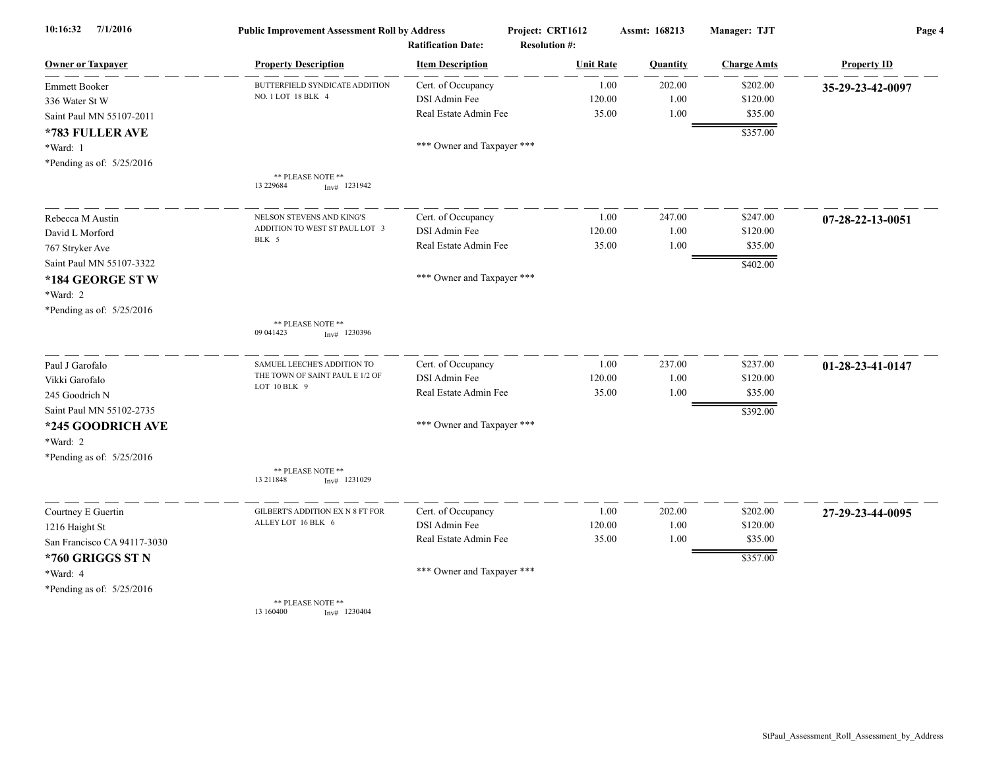| 10:16:32<br>7/1/2016        | <b>Public Improvement Assessment Roll by Address</b><br><b>Ratification Date:</b> |                            | Project: CRT1612<br><b>Resolution #:</b> | Assmt: 168213 | Manager: TJT       | Page 4             |  |
|-----------------------------|-----------------------------------------------------------------------------------|----------------------------|------------------------------------------|---------------|--------------------|--------------------|--|
| <b>Owner or Taxpayer</b>    | <b>Property Description</b>                                                       | <b>Item Description</b>    | <b>Unit Rate</b>                         | Quantity      | <b>Charge Amts</b> | <b>Property ID</b> |  |
| <b>Emmett Booker</b>        | BUTTERFIELD SYNDICATE ADDITION                                                    | Cert. of Occupancy         | 1.00                                     | 202.00        | \$202.00           | 35-29-23-42-0097   |  |
| 336 Water St W              | NO. 1 LOT 18 BLK 4                                                                | DSI Admin Fee              | 120.00                                   | 1.00          | \$120.00           |                    |  |
| Saint Paul MN 55107-2011    |                                                                                   | Real Estate Admin Fee      | 35.00                                    | 1.00          | \$35.00            |                    |  |
| *783 FULLER AVE             |                                                                                   |                            |                                          |               | \$357.00           |                    |  |
| *Ward: 1                    |                                                                                   | *** Owner and Taxpayer *** |                                          |               |                    |                    |  |
| *Pending as of: 5/25/2016   |                                                                                   |                            |                                          |               |                    |                    |  |
|                             | ** PLEASE NOTE **                                                                 |                            |                                          |               |                    |                    |  |
|                             | 13 229684<br>$Inv#$ 1231942                                                       |                            |                                          |               |                    |                    |  |
| Rebecca M Austin            | NELSON STEVENS AND KING'S                                                         | Cert. of Occupancy         | 1.00                                     | 247.00        | \$247.00           | 07-28-22-13-0051   |  |
| David L Morford             | ADDITION TO WEST ST PAUL LOT 3                                                    | DSI Admin Fee              | 120.00                                   | 1.00          | \$120.00           |                    |  |
| 767 Stryker Ave             | BLK 5                                                                             | Real Estate Admin Fee      | 35.00                                    | 1.00          | \$35.00            |                    |  |
| Saint Paul MN 55107-3322    |                                                                                   |                            |                                          |               | \$402.00           |                    |  |
| *184 GEORGE ST W            |                                                                                   | *** Owner and Taxpayer *** |                                          |               |                    |                    |  |
| *Ward: 2                    |                                                                                   |                            |                                          |               |                    |                    |  |
| *Pending as of: 5/25/2016   |                                                                                   |                            |                                          |               |                    |                    |  |
|                             | ** PLEASE NOTE **<br>09 04 14 23<br>$Inv#$ 1230396                                |                            |                                          |               |                    |                    |  |
| Paul J Garofalo             | SAMUEL LEECHE'S ADDITION TO                                                       | Cert. of Occupancy         | 1.00                                     | 237.00        | \$237.00           | 01-28-23-41-0147   |  |
| Vikki Garofalo              | THE TOWN OF SAINT PAUL E 1/2 OF                                                   | DSI Admin Fee              | 120.00                                   | 1.00          | \$120.00           |                    |  |
| 245 Goodrich N              | LOT 10 BLK 9                                                                      | Real Estate Admin Fee      | 35.00                                    | 1.00          | \$35.00            |                    |  |
| Saint Paul MN 55102-2735    |                                                                                   |                            |                                          |               | \$392.00           |                    |  |
| *245 GOODRICH AVE           |                                                                                   | *** Owner and Taxpayer *** |                                          |               |                    |                    |  |
| *Ward: 2                    |                                                                                   |                            |                                          |               |                    |                    |  |
| *Pending as of: 5/25/2016   |                                                                                   |                            |                                          |               |                    |                    |  |
|                             | ** PLEASE NOTE **<br>13 211848<br>$Inv#$ 1231029                                  |                            |                                          |               |                    |                    |  |
| Courtney E Guertin          | GILBERT'S ADDITION EX N 8 FT FOR                                                  | Cert. of Occupancy         | 1.00                                     | 202.00        | \$202.00           | 27-29-23-44-0095   |  |
| 1216 Haight St              | ALLEY LOT 16 BLK 6                                                                | DSI Admin Fee              | 120.00                                   | 1.00          | \$120.00           |                    |  |
| San Francisco CA 94117-3030 |                                                                                   | Real Estate Admin Fee      | 35.00                                    | 1.00          | \$35.00            |                    |  |
| *760 GRIGGS ST N            |                                                                                   |                            |                                          |               | \$357.00           |                    |  |
| *Ward: 4                    |                                                                                   | *** Owner and Taxpayer *** |                                          |               |                    |                    |  |
| *Pending as of: 5/25/2016   |                                                                                   |                            |                                          |               |                    |                    |  |
|                             | ** PLEASE NOTE **<br>13 160400<br>$Inv#$ 1230404                                  |                            |                                          |               |                    |                    |  |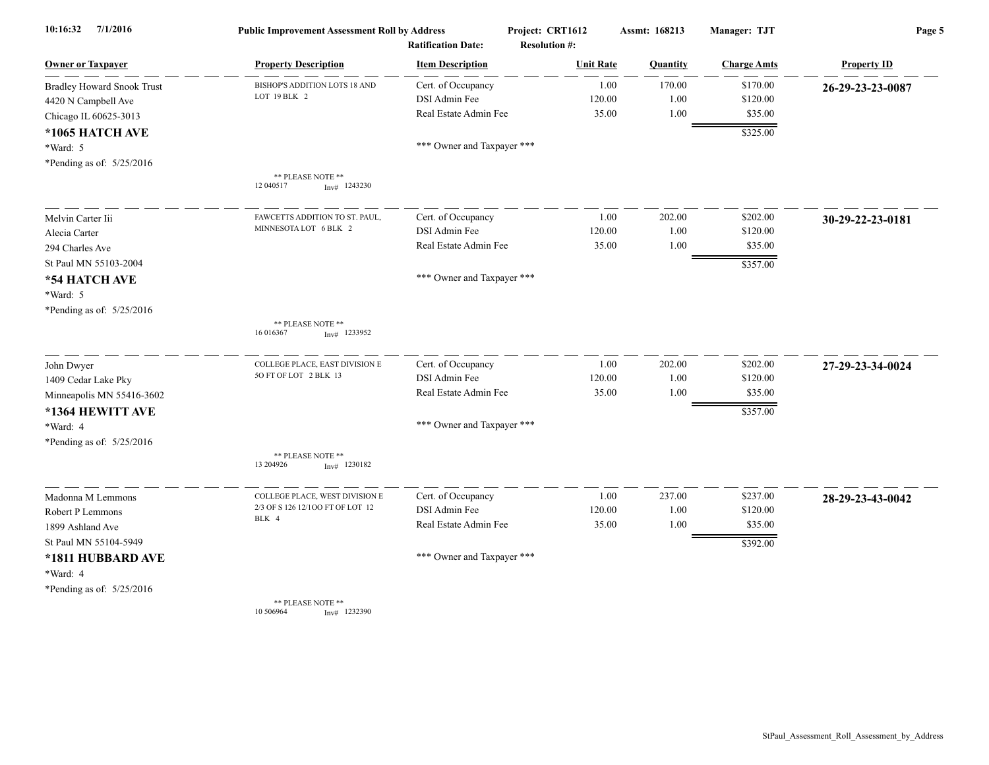| 7/1/2016<br>10:16:32              | <b>Public Improvement Assessment Roll by Address</b><br><b>Ratification Date:</b> |                            | Project: CRT1612<br><b>Resolution #:</b> | Manager: TJT<br>Assmt: 168213 |                    | Page 5             |  |
|-----------------------------------|-----------------------------------------------------------------------------------|----------------------------|------------------------------------------|-------------------------------|--------------------|--------------------|--|
| <b>Owner or Taxpayer</b>          | <b>Property Description</b>                                                       | <b>Item Description</b>    | <b>Unit Rate</b>                         | Quantity                      | <b>Charge Amts</b> | <b>Property ID</b> |  |
| <b>Bradley Howard Snook Trust</b> | BISHOP'S ADDITION LOTS 18 AND                                                     | Cert. of Occupancy         | 1.00                                     | 170.00                        | \$170.00           | 26-29-23-23-0087   |  |
| 4420 N Campbell Ave               | LOT 19 BLK 2                                                                      | DSI Admin Fee              | 120.00                                   | 1.00                          | \$120.00           |                    |  |
| Chicago IL 60625-3013             |                                                                                   | Real Estate Admin Fee      | 35.00                                    | 1.00                          | \$35.00            |                    |  |
| *1065 HATCH AVE                   |                                                                                   |                            |                                          |                               | \$325.00           |                    |  |
| *Ward: 5                          |                                                                                   | *** Owner and Taxpayer *** |                                          |                               |                    |                    |  |
| *Pending as of: 5/25/2016         |                                                                                   |                            |                                          |                               |                    |                    |  |
|                                   | ** PLEASE NOTE **                                                                 |                            |                                          |                               |                    |                    |  |
|                                   | 12 04 05 17<br>$Inv#$ 1243230                                                     |                            |                                          |                               |                    |                    |  |
| Melvin Carter Iii                 | FAWCETTS ADDITION TO ST. PAUL.                                                    | Cert. of Occupancy         | 1.00                                     | 202.00                        | \$202.00           | 30-29-22-23-0181   |  |
| Alecia Carter                     | MINNESOTA LOT 6 BLK 2                                                             | DSI Admin Fee              | 120.00                                   | 1.00                          | \$120.00           |                    |  |
| 294 Charles Ave                   |                                                                                   | Real Estate Admin Fee      | 35.00                                    | 1.00                          | \$35.00            |                    |  |
| St Paul MN 55103-2004             |                                                                                   |                            |                                          |                               | \$357.00           |                    |  |
| *54 HATCH AVE                     |                                                                                   | *** Owner and Taxpayer *** |                                          |                               |                    |                    |  |
| *Ward: 5                          |                                                                                   |                            |                                          |                               |                    |                    |  |
| *Pending as of: 5/25/2016         |                                                                                   |                            |                                          |                               |                    |                    |  |
|                                   | ** PLEASE NOTE **<br>16 01 63 67<br>$Inv#$ 1233952                                |                            |                                          |                               |                    |                    |  |
| John Dwyer                        | COLLEGE PLACE, EAST DIVISION E                                                    | Cert. of Occupancy         | 1.00                                     | 202.00                        | \$202.00           | 27-29-23-34-0024   |  |
| 1409 Cedar Lake Pky               | 50 FT OF LOT 2 BLK 13                                                             | DSI Admin Fee              | 120.00                                   | 1.00                          | \$120.00           |                    |  |
| Minneapolis MN 55416-3602         |                                                                                   | Real Estate Admin Fee      | 35.00                                    | 1.00                          | \$35.00            |                    |  |
| *1364 HEWITT AVE                  |                                                                                   |                            |                                          |                               | \$357.00           |                    |  |
| *Ward: 4                          |                                                                                   | *** Owner and Taxpayer *** |                                          |                               |                    |                    |  |
| *Pending as of: 5/25/2016         |                                                                                   |                            |                                          |                               |                    |                    |  |
|                                   | ** PLEASE NOTE **<br>13 204926<br>$Inv#$ 1230182                                  |                            |                                          |                               |                    |                    |  |
| Madonna M Lemmons                 | COLLEGE PLACE, WEST DIVISION E                                                    | Cert. of Occupancy         | 1.00                                     | 237.00                        | \$237.00           | 28-29-23-43-0042   |  |
| Robert P Lemmons                  | 2/3 OF S 126 12/100 FT OF LOT 12                                                  | DSI Admin Fee              | 120.00                                   | 1.00                          | \$120.00           |                    |  |
| 1899 Ashland Ave                  | BLK 4                                                                             | Real Estate Admin Fee      | 35.00                                    | 1.00                          | \$35.00            |                    |  |
| St Paul MN 55104-5949             |                                                                                   |                            |                                          |                               | \$392.00           |                    |  |
| *1811 HUBBARD AVE                 |                                                                                   | *** Owner and Taxpayer *** |                                          |                               |                    |                    |  |
| *Ward: 4                          |                                                                                   |                            |                                          |                               |                    |                    |  |
| *Pending as of: $5/25/2016$       |                                                                                   |                            |                                          |                               |                    |                    |  |
|                                   | ** PLEASE NOTE **<br>10 50 69 64<br>$Inv#$ 1232390                                |                            |                                          |                               |                    |                    |  |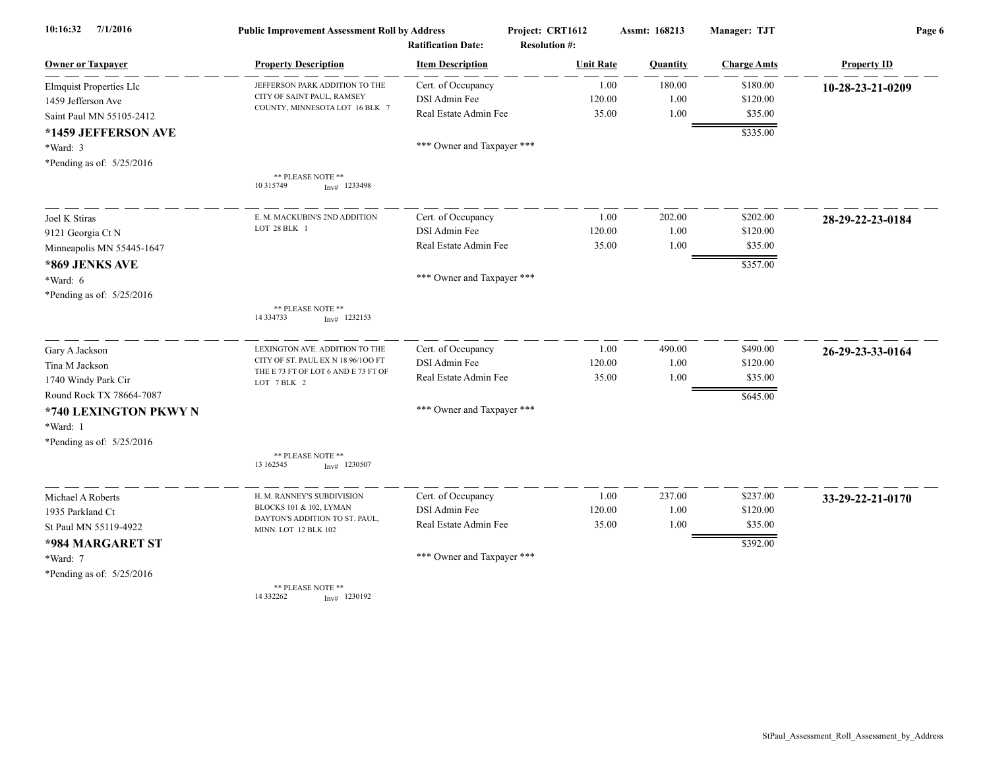| 7/1/2016<br>10:16:32              | <b>Public Improvement Assessment Roll by Address</b>         |                            | Project: CRT1612     | Assmt: 168213 |          | Manager: TJT       | Page 6             |  |
|-----------------------------------|--------------------------------------------------------------|----------------------------|----------------------|---------------|----------|--------------------|--------------------|--|
|                                   |                                                              | <b>Ratification Date:</b>  | <b>Resolution #:</b> |               |          |                    |                    |  |
| <b>Owner or Taxpayer</b>          | <b>Property Description</b>                                  | <b>Item Description</b>    | <b>Unit Rate</b>     |               | Quantity | <b>Charge Amts</b> | <b>Property ID</b> |  |
| Elmquist Properties Llc           | JEFFERSON PARK ADDITION TO THE<br>CITY OF SAINT PAUL, RAMSEY | Cert. of Occupancy         |                      | 1.00          | 180.00   | \$180.00           | 10-28-23-21-0209   |  |
| 1459 Jefferson Ave                | COUNTY, MINNESOTA LOT 16 BLK 7                               | DSI Admin Fee              |                      | 120.00        | 1.00     | \$120.00           |                    |  |
| Saint Paul MN 55105-2412          |                                                              | Real Estate Admin Fee      |                      | 35.00         | 1.00     | \$35.00            |                    |  |
| *1459 JEFFERSON AVE               |                                                              |                            |                      |               |          | \$335.00           |                    |  |
| *Ward: 3                          |                                                              | *** Owner and Taxpayer *** |                      |               |          |                    |                    |  |
| *Pending as of: $5/25/2016$       |                                                              |                            |                      |               |          |                    |                    |  |
|                                   | ** PLEASE NOTE **<br>10 315749<br>$Inv#$ 1233498             |                            |                      |               |          |                    |                    |  |
| Joel K Stiras                     | E. M. MACKUBIN'S 2ND ADDITION                                | Cert. of Occupancy         |                      | 1.00          | 202.00   | \$202.00           | 28-29-22-23-0184   |  |
| 9121 Georgia Ct N                 | LOT 28 BLK 1                                                 | DSI Admin Fee              |                      | 120.00        | 1.00     | \$120.00           |                    |  |
| Minneapolis MN 55445-1647         |                                                              | Real Estate Admin Fee      |                      | 35.00         | 1.00     | \$35.00            |                    |  |
| *869 JENKS AVE                    |                                                              |                            |                      |               |          | \$357.00           |                    |  |
| *Ward: 6                          |                                                              | *** Owner and Taxpayer *** |                      |               |          |                    |                    |  |
| *Pending as of: 5/25/2016         |                                                              |                            |                      |               |          |                    |                    |  |
|                                   | ** PLEASE NOTE **<br>14 3 3 4 7 3 3<br>$Inv#$ 1232153        |                            |                      |               |          |                    |                    |  |
| Gary A Jackson                    | LEXINGTON AVE. ADDITION TO THE                               | Cert. of Occupancy         |                      | 1.00          | 490.00   | \$490.00           | 26-29-23-33-0164   |  |
| Tina M Jackson                    | CITY OF ST. PAUL EX N 18 96/100 FT                           | DSI Admin Fee              |                      | 120.00        | 1.00     | \$120.00           |                    |  |
| 1740 Windy Park Cir               | THE E 73 FT OF LOT 6 AND E 73 FT OF<br>LOT 7 BLK 2           | Real Estate Admin Fee      |                      | 35.00         | 1.00     | \$35.00            |                    |  |
| Round Rock TX 78664-7087          |                                                              |                            |                      |               |          | \$645.00           |                    |  |
| *740 LEXINGTON PKWY N<br>*Ward: 1 |                                                              | *** Owner and Taxpayer *** |                      |               |          |                    |                    |  |
| *Pending as of: 5/25/2016         |                                                              |                            |                      |               |          |                    |                    |  |
|                                   | ** PLEASE NOTE **                                            |                            |                      |               |          |                    |                    |  |
|                                   | 13 162545<br>$Inv#$ 1230507                                  |                            |                      |               |          |                    |                    |  |
| Michael A Roberts                 | H. M. RANNEY'S SUBDIVISION                                   | Cert. of Occupancy         |                      | 1.00          | 237.00   | \$237.00           | 33-29-22-21-0170   |  |
| 1935 Parkland Ct                  | BLOCKS 101 & 102, LYMAN                                      | DSI Admin Fee              |                      | 120.00        | 1.00     | \$120.00           |                    |  |
| St Paul MN 55119-4922             | DAYTON'S ADDITION TO ST. PAUL,<br>MINN. LOT 12 BLK 102       | Real Estate Admin Fee      |                      | 35.00         | 1.00     | \$35.00            |                    |  |
| *984 MARGARET ST                  |                                                              |                            |                      |               |          | \$392.00           |                    |  |
| *Ward: 7                          |                                                              | *** Owner and Taxpayer *** |                      |               |          |                    |                    |  |
| *Pending as of: 5/25/2016         |                                                              |                            |                      |               |          |                    |                    |  |
|                                   | ** PLEASE NOTE **<br>14 332262<br>$Inv#$ 1230192             |                            |                      |               |          |                    |                    |  |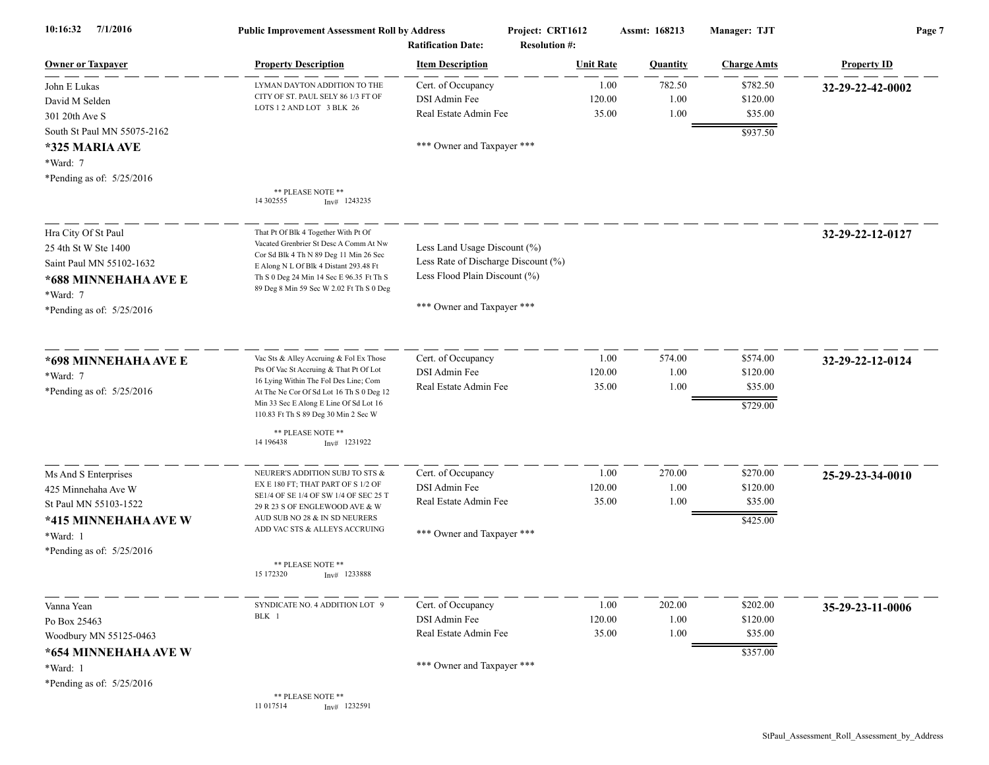| 7/1/2016<br>10:16:32                                                                                          | <b>Public Improvement Assessment Roll by Address</b><br><b>Ratification Date:</b>                                                                                                                                                                          |                                                                                                                                    | Project: CRT1612<br><b>Resolution #:</b> |                         | Assmt: 168213          | Manager: TJT                                | Page 7             |  |
|---------------------------------------------------------------------------------------------------------------|------------------------------------------------------------------------------------------------------------------------------------------------------------------------------------------------------------------------------------------------------------|------------------------------------------------------------------------------------------------------------------------------------|------------------------------------------|-------------------------|------------------------|---------------------------------------------|--------------------|--|
| <b>Owner or Taxpayer</b>                                                                                      | <b>Property Description</b>                                                                                                                                                                                                                                | <b>Item Description</b>                                                                                                            |                                          | <b>Unit Rate</b>        | <b>Quantity</b>        | <b>Charge Amts</b>                          | <b>Property ID</b> |  |
| John E Lukas<br>David M Selden<br>301 20th Ave S<br>South St Paul MN 55075-2162<br>*325 MARIA AVE<br>*Ward: 7 | LYMAN DAYTON ADDITION TO THE<br>CITY OF ST. PAUL SELY 86 1/3 FT OF<br>LOTS 1 2 AND LOT 3 BLK 26                                                                                                                                                            | Cert. of Occupancy<br>DSI Admin Fee<br>Real Estate Admin Fee<br>*** Owner and Taxpayer ***                                         |                                          | 1.00<br>120.00<br>35.00 | 782.50<br>1.00<br>1.00 | \$782.50<br>\$120.00<br>\$35.00<br>\$937.50 | 32-29-22-42-0002   |  |
| *Pending as of: $5/25/2016$                                                                                   | ** PLEASE NOTE **<br>14 302555<br>$Inv#$ 1243235                                                                                                                                                                                                           |                                                                                                                                    |                                          |                         |                        |                                             |                    |  |
| Hra City Of St Paul<br>25 4th St W Ste 1400<br>Saint Paul MN 55102-1632<br>*688 MINNEHAHA AVE E<br>*Ward: 7   | That Pt Of Blk 4 Together With Pt Of<br>Vacated Grenbrier St Desc A Comm At Nw<br>Cor Sd Blk 4 Th N 89 Deg 11 Min 26 Sec<br>E Along N L Of Blk 4 Distant 293.48 Ft<br>Th S 0 Deg 24 Min 14 Sec E 96.35 Ft Th S<br>89 Deg 8 Min 59 Sec W 2.02 Ft Th S 0 Deg | Less Land Usage Discount (%)<br>Less Rate of Discharge Discount (%)<br>Less Flood Plain Discount (%)<br>*** Owner and Taxpayer *** |                                          |                         |                        |                                             | 32-29-22-12-0127   |  |
| *Pending as of: 5/25/2016                                                                                     |                                                                                                                                                                                                                                                            |                                                                                                                                    |                                          |                         |                        |                                             |                    |  |
| *698 MINNEHAHA AVE E<br>*Ward: 7<br>*Pending as of: 5/25/2016                                                 | Vac Sts & Alley Accruing & Fol Ex Those<br>Pts Of Vac St Accruing & That Pt Of Lot<br>16 Lying Within The Fol Des Line; Com<br>At The Ne Cor Of Sd Lot 16 Th S 0 Deg 12<br>Min 33 Sec E Along E Line Of Sd Lot 16<br>110.83 Ft Th S 89 Deg 30 Min 2 Sec W  | Cert. of Occupancy<br>DSI Admin Fee<br>Real Estate Admin Fee                                                                       |                                          | 1.00<br>120.00<br>35.00 | 574.00<br>1.00<br>1.00 | \$574.00<br>\$120.00<br>\$35.00<br>\$729.00 | 32-29-22-12-0124   |  |
|                                                                                                               | ** PLEASE NOTE **<br>14 19 64 38<br>$Inv#$ 1231922                                                                                                                                                                                                         |                                                                                                                                    |                                          |                         |                        |                                             |                    |  |
| Ms And S Enterprises<br>425 Minnehaha Ave W<br>St Paul MN 55103-1522<br>*415 MINNEHAHA AVE W<br>*Ward: 1      | NEURER'S ADDITION SUBJ TO STS &<br>EX E 180 FT; THAT PART OF S 1/2 OF<br>SE1/4 OF SE 1/4 OF SW 1/4 OF SEC 25 T<br>29 R 23 S OF ENGLEWOOD AVE & W<br>AUD SUB NO 28 & IN SD NEURERS<br>ADD VAC STS & ALLEYS ACCRUING                                         | Cert. of Occupancy<br>DSI Admin Fee<br>Real Estate Admin Fee<br>*** Owner and Taxpayer ***                                         |                                          | 1.00<br>120.00<br>35.00 | 270.00<br>1.00<br>1.00 | \$270.00<br>\$120.00<br>\$35.00<br>\$425.00 | 25-29-23-34-0010   |  |
| *Pending as of: $5/25/2016$                                                                                   | ** PLEASE NOTE **<br>15 172320<br>$Inv#$ 1233888                                                                                                                                                                                                           |                                                                                                                                    |                                          |                         |                        |                                             |                    |  |
| Vanna Yean<br>Po Box 25463<br>Woodbury MN 55125-0463<br>*654 MINNEHAHA AVE W                                  | SYNDICATE NO. 4 ADDITION LOT 9<br>BLK 1                                                                                                                                                                                                                    | Cert. of Occupancy<br>DSI Admin Fee<br>Real Estate Admin Fee                                                                       |                                          | 1.00<br>120.00<br>35.00 | 202.00<br>1.00<br>1.00 | \$202.00<br>\$120.00<br>\$35.00<br>\$357.00 | 35-29-23-11-0006   |  |
| *Ward: 1<br>*Pending as of: 5/25/2016                                                                         |                                                                                                                                                                                                                                                            | *** Owner and Taxpayer ***                                                                                                         |                                          |                         |                        |                                             |                    |  |
|                                                                                                               | ** PLEASE NOTE **<br>11 017514<br>$Inv#$ 1232591                                                                                                                                                                                                           |                                                                                                                                    |                                          |                         |                        |                                             |                    |  |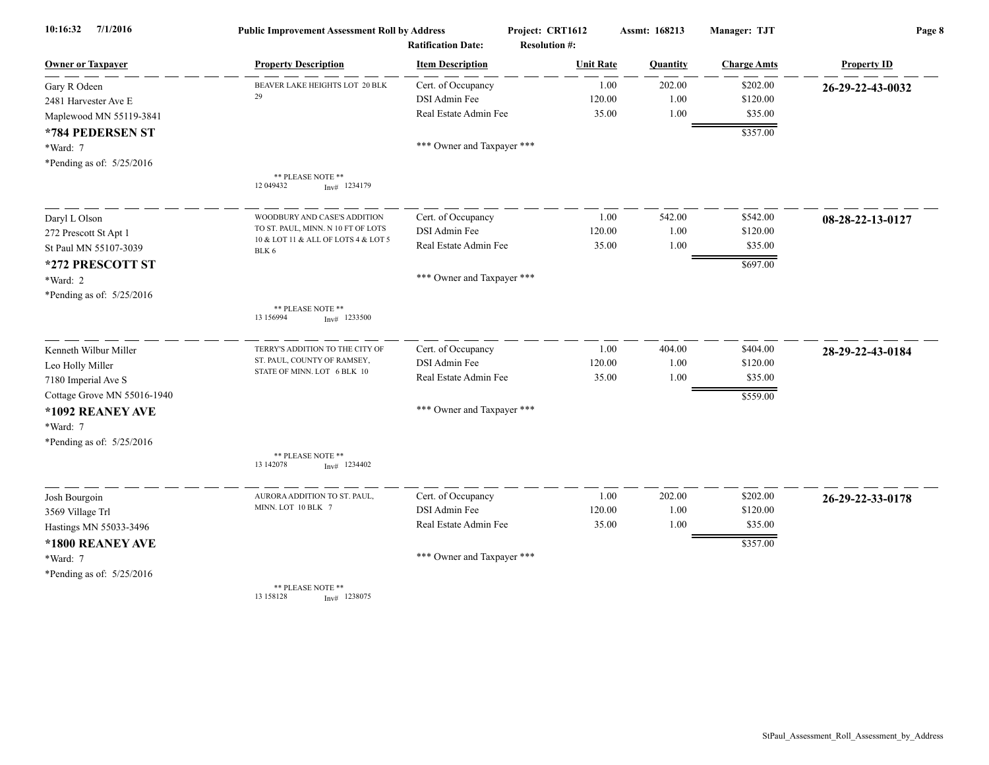| 10:16:32<br>7/1/2016        | <b>Public Improvement Assessment Roll by Address</b>       |                                                      | Project: CRT1612                         | Assmt: 168213   | Manager: TJT       | Page 8             |
|-----------------------------|------------------------------------------------------------|------------------------------------------------------|------------------------------------------|-----------------|--------------------|--------------------|
| <b>Owner or Taxpayer</b>    | <b>Property Description</b>                                | <b>Ratification Date:</b><br><b>Item Description</b> | <b>Resolution #:</b><br><b>Unit Rate</b> | <b>Quantity</b> | <b>Charge Amts</b> | <b>Property ID</b> |
| Gary R Odeen                | BEAVER LAKE HEIGHTS LOT 20 BLK                             | Cert. of Occupancy                                   | 1.00                                     | 202.00          | \$202.00           | 26-29-22-43-0032   |
| 2481 Harvester Ave E        | 29                                                         | DSI Admin Fee                                        | 120.00                                   | 1.00            | \$120.00           |                    |
| Maplewood MN 55119-3841     |                                                            | Real Estate Admin Fee                                | 35.00                                    | 1.00            | \$35.00            |                    |
| *784 PEDERSEN ST            |                                                            |                                                      |                                          |                 | \$357.00           |                    |
| *Ward: 7                    |                                                            | *** Owner and Taxpayer ***                           |                                          |                 |                    |                    |
| *Pending as of: 5/25/2016   |                                                            |                                                      |                                          |                 |                    |                    |
|                             | ** PLEASE NOTE **<br>12 049432<br>$Inv#$ 1234179           |                                                      |                                          |                 |                    |                    |
| Daryl L Olson               | WOODBURY AND CASE'S ADDITION                               | Cert. of Occupancy                                   | 1.00                                     | 542.00          | \$542.00           | 08-28-22-13-0127   |
| 272 Prescott St Apt 1       | TO ST. PAUL, MINN. N 10 FT OF LOTS                         | DSI Admin Fee                                        | 120.00                                   | 1.00            | \$120.00           |                    |
| St Paul MN 55107-3039       | 10 & LOT 11 & ALL OF LOTS 4 & LOT 5<br>BLK 6               | Real Estate Admin Fee                                | 35.00                                    | 1.00            | \$35.00            |                    |
| *272 PRESCOTT ST            |                                                            |                                                      |                                          |                 | \$697.00           |                    |
| *Ward: 2                    |                                                            | *** Owner and Taxpayer ***                           |                                          |                 |                    |                    |
| *Pending as of: 5/25/2016   |                                                            |                                                      |                                          |                 |                    |                    |
|                             | ** PLEASE NOTE **<br>13 15 6994<br>$Inv#$ 1233500          |                                                      |                                          |                 |                    |                    |
| Kenneth Wilbur Miller       | TERRY'S ADDITION TO THE CITY OF                            | Cert. of Occupancy                                   | 1.00                                     | 404.00          | \$404.00           | 28-29-22-43-0184   |
| Leo Holly Miller            | ST. PAUL, COUNTY OF RAMSEY,<br>STATE OF MINN. LOT 6 BLK 10 | DSI Admin Fee                                        | 120.00                                   | 1.00            | \$120.00           |                    |
| 7180 Imperial Ave S         |                                                            | Real Estate Admin Fee                                | 35.00                                    | 1.00            | \$35.00            |                    |
| Cottage Grove MN 55016-1940 |                                                            |                                                      |                                          |                 | \$559.00           |                    |
| *1092 REANEY AVE            |                                                            | *** Owner and Taxpayer ***                           |                                          |                 |                    |                    |
| *Ward: 7                    |                                                            |                                                      |                                          |                 |                    |                    |
| *Pending as of: 5/25/2016   |                                                            |                                                      |                                          |                 |                    |                    |
|                             | ** PLEASE NOTE **<br>13 14 2078<br>$Inv#$ 1234402          |                                                      |                                          |                 |                    |                    |
| Josh Bourgoin               | AURORA ADDITION TO ST. PAUL,                               | Cert. of Occupancy                                   | 1.00                                     | 202.00          | \$202.00           | 26-29-22-33-0178   |
| 3569 Village Trl            | MINN. LOT 10 BLK 7                                         | DSI Admin Fee                                        | 120.00                                   | 1.00            | \$120.00           |                    |
| Hastings MN 55033-3496      |                                                            | Real Estate Admin Fee                                | 35.00                                    | 1.00            | \$35.00            |                    |
| *1800 REANEY AVE            |                                                            |                                                      |                                          |                 | \$357.00           |                    |
| *Ward: 7                    |                                                            | *** Owner and Taxpayer ***                           |                                          |                 |                    |                    |
| *Pending as of: 5/25/2016   |                                                            |                                                      |                                          |                 |                    |                    |
|                             | ** PLEASE NOTE **<br>13 15 8 12 8<br>$Inv#$ 1238075        |                                                      |                                          |                 |                    |                    |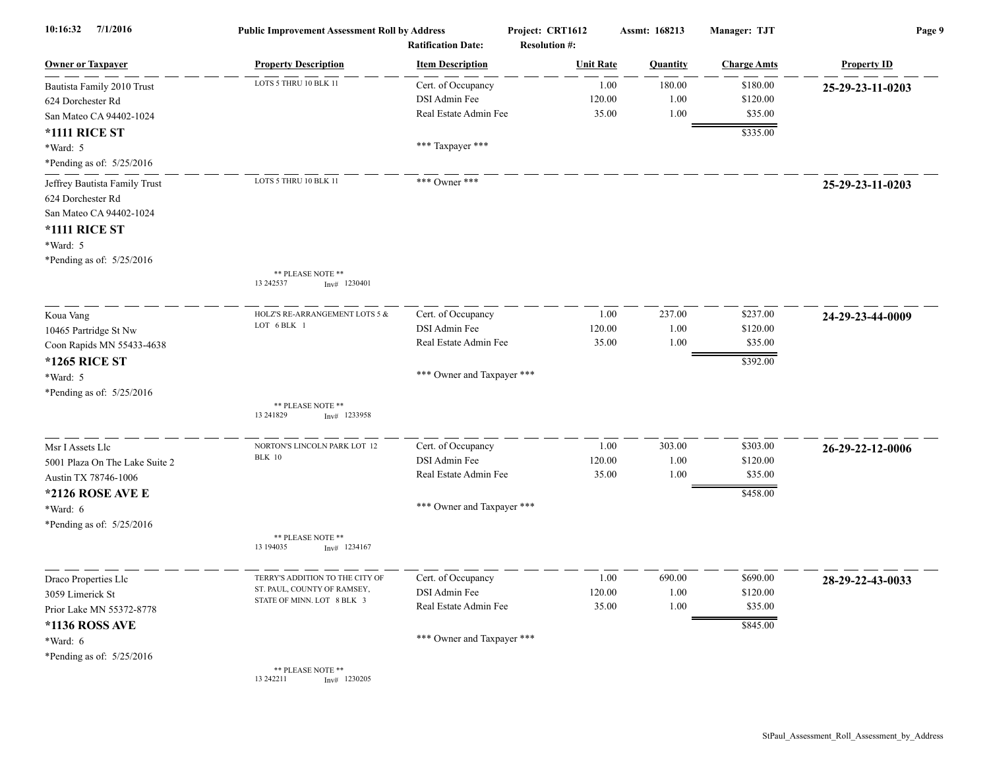| 10:16:32<br>7/1/2016                                                                                                                           | <b>Public Improvement Assessment Roll by Address</b>      | <b>Ratification Date:</b>                                    | Project: CRT1612<br><b>Resolution #:</b> | Assmt: 168213          | Manager: TJT                                | Page 9             |
|------------------------------------------------------------------------------------------------------------------------------------------------|-----------------------------------------------------------|--------------------------------------------------------------|------------------------------------------|------------------------|---------------------------------------------|--------------------|
| <b>Owner or Taxpayer</b>                                                                                                                       | <b>Property Description</b>                               | <b>Item Description</b>                                      | <b>Unit Rate</b>                         | <b>Quantity</b>        | <b>Charge Amts</b>                          | <b>Property ID</b> |
| Bautista Family 2010 Trust<br>624 Dorchester Rd<br>San Mateo CA 94402-1024                                                                     | LOTS 5 THRU 10 BLK 11                                     | Cert. of Occupancy<br>DSI Admin Fee<br>Real Estate Admin Fee | 1.00<br>120.00<br>35.00                  | 180.00<br>1.00<br>1.00 | \$180.00<br>\$120.00<br>\$35.00             | 25-29-23-11-0203   |
| <b>*1111 RICE ST</b><br>*Ward: 5<br>*Pending as of: 5/25/2016                                                                                  |                                                           | *** Taxpayer ***                                             |                                          |                        | \$335.00                                    |                    |
| Jeffrey Bautista Family Trust<br>624 Dorchester Rd<br>San Mateo CA 94402-1024<br><b>*1111 RICE ST</b><br>*Ward: 5<br>*Pending as of: 5/25/2016 | LOTS 5 THRU 10 BLK 11<br>** PLEASE NOTE **                | *** Owner ***                                                |                                          |                        |                                             | 25-29-23-11-0203   |
|                                                                                                                                                | 13 24 25 37<br>$Inv#$ 1230401                             |                                                              |                                          |                        |                                             |                    |
| Koua Vang<br>10465 Partridge St Nw<br>Coon Rapids MN 55433-4638                                                                                | HOLZ'S RE-ARRANGEMENT LOTS 5 &<br>LOT 6 BLK 1             | Cert. of Occupancy<br>DSI Admin Fee<br>Real Estate Admin Fee | 1.00<br>120.00<br>35.00                  | 237.00<br>1.00<br>1.00 | \$237.00<br>\$120.00<br>\$35.00             | 24-29-23-44-0009   |
| <b>*1265 RICE ST</b><br>*Ward: 5<br>*Pending as of: 5/25/2016                                                                                  |                                                           | *** Owner and Taxpayer ***                                   |                                          |                        | \$392.00                                    |                    |
|                                                                                                                                                | ** PLEASE NOTE **<br>13 24 18 29<br>$Inv#$ 1233958        |                                                              |                                          |                        |                                             |                    |
| Msr I Assets Llc<br>5001 Plaza On The Lake Suite 2<br>Austin TX 78746-1006<br>*2126 ROSE AVE E                                                 | NORTON'S LINCOLN PARK LOT 12<br><b>BLK</b> 10             | Cert. of Occupancy<br>DSI Admin Fee<br>Real Estate Admin Fee | 1.00<br>120.00<br>35.00                  | 303.00<br>1.00<br>1.00 | \$303.00<br>\$120.00<br>\$35.00<br>\$458.00 | 26-29-22-12-0006   |
| *Ward: 6<br>*Pending as of: 5/25/2016                                                                                                          | ** PLEASE NOTE **<br>13 194035<br>$Inv#$ 1234167          | *** Owner and Taxpayer ***                                   |                                          |                        |                                             |                    |
|                                                                                                                                                | TERRY'S ADDITION TO THE CITY OF                           |                                                              |                                          |                        |                                             |                    |
| Draco Properties Llc<br>3059 Limerick St<br>Prior Lake MN 55372-8778                                                                           | ST. PAUL, COUNTY OF RAMSEY,<br>STATE OF MINN. LOT 8 BLK 3 | Cert. of Occupancy<br>DSI Admin Fee<br>Real Estate Admin Fee | 1.00<br>120.00<br>35.00                  | 690.00<br>1.00<br>1.00 | \$690.00<br>\$120.00<br>\$35.00             | 28-29-22-43-0033   |
| *1136 ROSS AVE<br>*Ward: $6$<br>*Pending as of: $5/25/2016$                                                                                    |                                                           | *** Owner and Taxpayer ***                                   |                                          |                        | \$845.00                                    |                    |
|                                                                                                                                                | ** PLEASE NOTE **<br>13 24 22 11<br>$Inv#$ 1230205        |                                                              |                                          |                        |                                             |                    |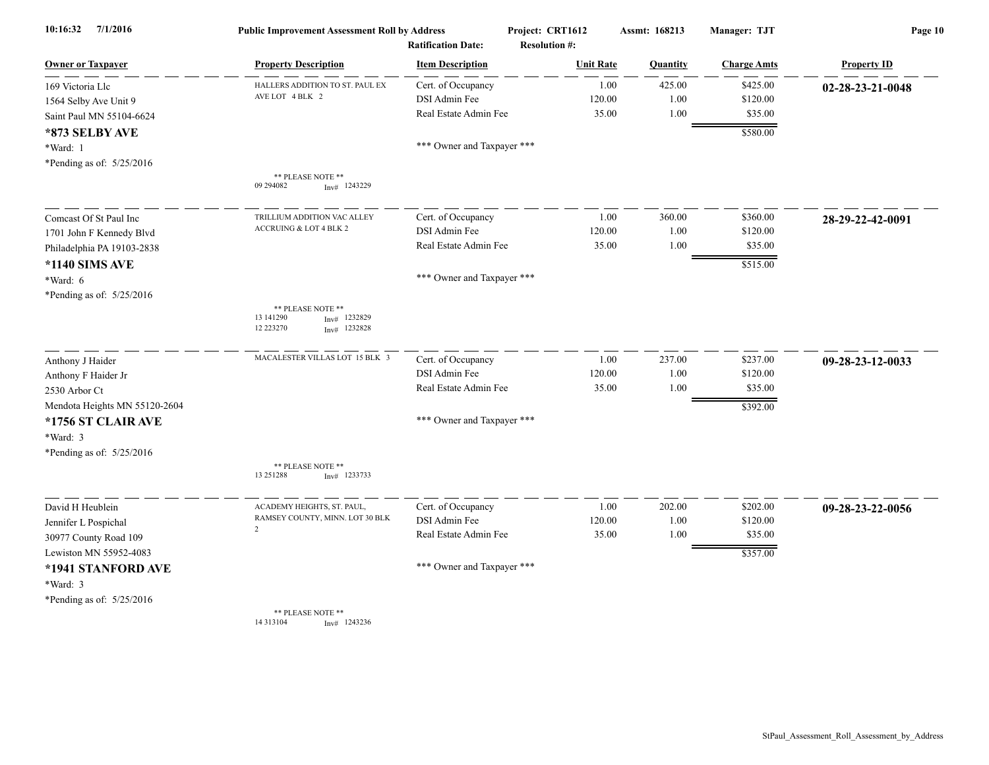| 7/1/2016<br>10:16:32          | <b>Public Improvement Assessment Roll by Address</b><br><b>Ratification Date:</b>  |                            | Project: CRT1612<br><b>Resolution #:</b> | Assmt: 168213 | Manager: TJT       | Page 10            |
|-------------------------------|------------------------------------------------------------------------------------|----------------------------|------------------------------------------|---------------|--------------------|--------------------|
| <b>Owner or Taxpayer</b>      | <b>Property Description</b>                                                        | <b>Item Description</b>    | <b>Unit Rate</b>                         | Quantity      | <b>Charge Amts</b> | <b>Property ID</b> |
| 169 Victoria Llc              | HALLERS ADDITION TO ST. PAUL EX                                                    | Cert. of Occupancy         | 1.00                                     | 425.00        | \$425.00           | 02-28-23-21-0048   |
| 1564 Selby Ave Unit 9         | AVE LOT 4 BLK 2                                                                    | DSI Admin Fee              | 120.00                                   | 1.00          | \$120.00           |                    |
| Saint Paul MN 55104-6624      |                                                                                    | Real Estate Admin Fee      | 35.00                                    | 1.00          | \$35.00            |                    |
| *873 SELBY AVE                |                                                                                    |                            |                                          |               | \$580.00           |                    |
| *Ward: 1                      |                                                                                    | *** Owner and Taxpayer *** |                                          |               |                    |                    |
| *Pending as of: 5/25/2016     |                                                                                    |                            |                                          |               |                    |                    |
|                               | ** PLEASE NOTE **<br>09 29 40 82<br>$Inv#$ 1243229                                 |                            |                                          |               |                    |                    |
|                               |                                                                                    |                            |                                          |               |                    |                    |
| Comcast Of St Paul Inc        | TRILLIUM ADDITION VAC ALLEY                                                        | Cert. of Occupancy         | 1.00                                     | 360.00        | \$360.00           | 28-29-22-42-0091   |
| 1701 John F Kennedy Blvd      | ACCRUING & LOT 4 BLK 2                                                             | DSI Admin Fee              | 120.00                                   | 1.00          | \$120.00           |                    |
| Philadelphia PA 19103-2838    |                                                                                    | Real Estate Admin Fee      | 35.00                                    | 1.00          | \$35.00            |                    |
| *1140 SIMS AVE                |                                                                                    |                            |                                          |               | \$515.00           |                    |
| *Ward: 6                      |                                                                                    | *** Owner and Taxpayer *** |                                          |               |                    |                    |
| *Pending as of: 5/25/2016     |                                                                                    |                            |                                          |               |                    |                    |
|                               | ** PLEASE NOTE **<br>13 14 1290<br>1232829<br>Inv#<br>12 223270<br>1232828<br>Inv# |                            |                                          |               |                    |                    |
| Anthony J Haider              | MACALESTER VILLAS LOT 15 BLK 3                                                     | Cert. of Occupancy         | 1.00                                     | 237.00        | \$237.00           | 09-28-23-12-0033   |
| Anthony F Haider Jr           |                                                                                    | DSI Admin Fee              | 120.00                                   | 1.00          | \$120.00           |                    |
| 2530 Arbor Ct                 |                                                                                    | Real Estate Admin Fee      | 35.00                                    | 1.00          | \$35.00            |                    |
| Mendota Heights MN 55120-2604 |                                                                                    |                            |                                          |               | \$392.00           |                    |
| *1756 ST CLAIR AVE            |                                                                                    | *** Owner and Taxpayer *** |                                          |               |                    |                    |
| *Ward: 3                      |                                                                                    |                            |                                          |               |                    |                    |
| *Pending as of: 5/25/2016     |                                                                                    |                            |                                          |               |                    |                    |
|                               | ** PLEASE NOTE **<br>13 25 1288<br>$Inv#$ 1233733                                  |                            |                                          |               |                    |                    |
| David H Heublein              | ACADEMY HEIGHTS, ST. PAUL,                                                         | Cert. of Occupancy         | 1.00                                     | 202.00        | \$202.00           | 09-28-23-22-0056   |
| Jennifer L Pospichal          | RAMSEY COUNTY, MINN. LOT 30 BLK                                                    | DSI Admin Fee              | 120.00                                   | 1.00          | \$120.00           |                    |
| 30977 County Road 109         | 2                                                                                  | Real Estate Admin Fee      | 35.00                                    | 1.00          | \$35.00            |                    |
| Lewiston MN 55952-4083        |                                                                                    |                            |                                          |               | \$357.00           |                    |
| *1941 STANFORD AVE            |                                                                                    | *** Owner and Taxpayer *** |                                          |               |                    |                    |
| *Ward: 3                      |                                                                                    |                            |                                          |               |                    |                    |
| *Pending as of: 5/25/2016     |                                                                                    |                            |                                          |               |                    |                    |
|                               | ** PLEASE NOTE **<br>14 3 13 10 4<br>$Inv#$ 1243236                                |                            |                                          |               |                    |                    |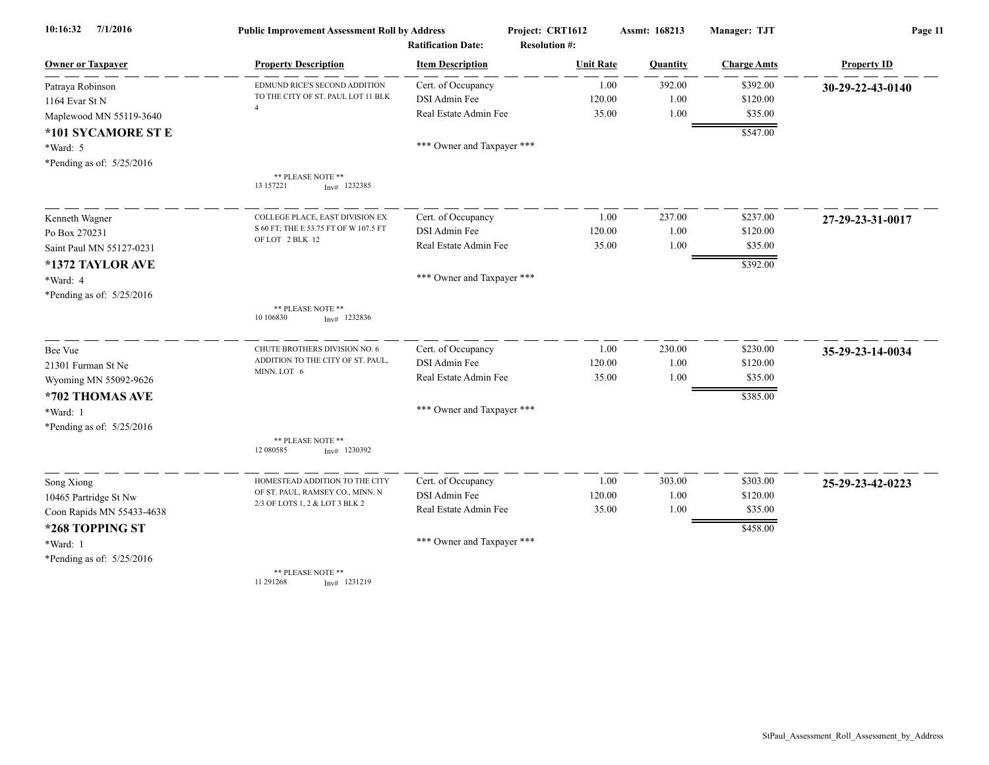| 7/1/2016<br>10:16:32      | <b>Public Improvement Assessment Roll by Address</b> |                                                      | Project: CRT1612                         | Assmt: 168213 | Manager: TJT       | Page 11            |
|---------------------------|------------------------------------------------------|------------------------------------------------------|------------------------------------------|---------------|--------------------|--------------------|
| <b>Owner or Taxpayer</b>  | <b>Property Description</b>                          | <b>Ratification Date:</b><br><b>Item Description</b> | <b>Resolution #:</b><br><b>Unit Rate</b> | Quantity      | <b>Charge Amts</b> | <b>Property ID</b> |
| Patraya Robinson          | EDMUND RICE'S SECOND ADDITION                        | Cert. of Occupancy                                   | 1.00                                     | 392.00        | \$392.00           | 30-29-22-43-0140   |
| 1164 Evar St N            | TO THE CITY OF ST. PAUL LOT 11 BLK                   | DSI Admin Fee                                        | 120.00                                   | 1.00          | \$120.00           |                    |
| Maplewood MN 55119-3640   |                                                      | Real Estate Admin Fee                                | 35.00                                    | 1.00          | \$35.00            |                    |
| *101 SYCAMORE ST E        |                                                      |                                                      |                                          |               | \$547.00           |                    |
| *Ward: 5                  |                                                      | *** Owner and Taxpayer ***                           |                                          |               |                    |                    |
| *Pending as of: 5/25/2016 |                                                      |                                                      |                                          |               |                    |                    |
|                           | ** PLEASE NOTE **<br>13 157221<br>$Inv#$ 1232385     |                                                      |                                          |               |                    |                    |
| Kenneth Wagner            | COLLEGE PLACE, EAST DIVISION EX                      | Cert. of Occupancy                                   | 1.00                                     | 237.00        | \$237.00           | 27-29-23-31-0017   |
| Po Box 270231             | S 60 FT; THE E 53.75 FT OF W 107.5 FT                | DSI Admin Fee                                        | 120.00                                   | 1.00          | \$120.00           |                    |
| Saint Paul MN 55127-0231  | OF LOT 2 BLK 12                                      | Real Estate Admin Fee                                | 35.00                                    | 1.00          | \$35.00            |                    |
| *1372 TAYLOR AVE          |                                                      |                                                      |                                          |               | \$392.00           |                    |
| *Ward: 4                  |                                                      | *** Owner and Taxpayer ***                           |                                          |               |                    |                    |
| *Pending as of: 5/25/2016 |                                                      |                                                      |                                          |               |                    |                    |
|                           | ** PLEASE NOTE **<br>10 10 6830<br>$Inv#$ 1232836    |                                                      |                                          |               |                    |                    |
| Bee Vue                   | CHUTE BROTHERS DIVISION NO. 6                        | Cert. of Occupancy                                   | 1.00                                     | 230.00        | \$230.00           | 35-29-23-14-0034   |
| 21301 Furman St Ne        | ADDITION TO THE CITY OF ST. PAUL,                    | DSI Admin Fee                                        | 120.00                                   | 1.00          | \$120.00           |                    |
| Wyoming MN 55092-9626     | MINN. LOT 6                                          | Real Estate Admin Fee                                | 35.00                                    | 1.00          | \$35.00            |                    |
| *702 THOMAS AVE           |                                                      |                                                      |                                          |               | \$385.00           |                    |
| *Ward: 1                  |                                                      | *** Owner and Taxpayer ***                           |                                          |               |                    |                    |
| *Pending as of: 5/25/2016 |                                                      |                                                      |                                          |               |                    |                    |
|                           | ** PLEASE NOTE **<br>12 080585<br>$Inv#$ 1230392     |                                                      |                                          |               |                    |                    |
| Song Xiong                | HOMESTEAD ADDITION TO THE CITY                       | Cert. of Occupancy                                   | 1.00                                     | 303.00        | \$303.00           | 25-29-23-42-0223   |
| 10465 Partridge St Nw     | OF ST. PAUL, RAMSEY CO., MINN. N                     | DSI Admin Fee                                        | 120.00                                   | 1.00          | \$120.00           |                    |
| Coon Rapids MN 55433-4638 | 2/3 OF LOTS 1, 2 & LOT 3 BLK 2                       | Real Estate Admin Fee                                | 35.00                                    | 1.00          | \$35.00            |                    |
| *268 TOPPING ST           |                                                      |                                                      |                                          |               | \$458.00           |                    |
| *Ward: 1                  |                                                      | *** Owner and Taxpayer ***                           |                                          |               |                    |                    |
| *Pending as of: 5/25/2016 |                                                      |                                                      |                                          |               |                    |                    |
|                           | ** PLEASE NOTE **<br>11 291 268<br>$Inv#$ 1231219    |                                                      |                                          |               |                    |                    |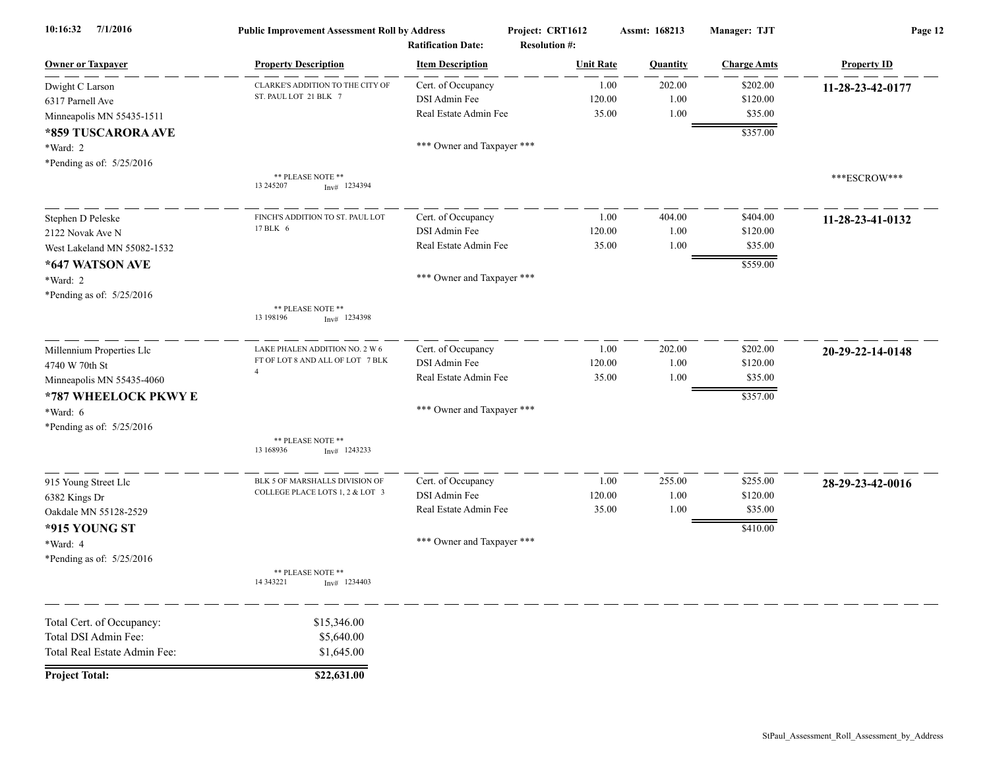| 10:16:32<br>7/1/2016                                                                                                                      | <b>Public Improvement Assessment Roll by Address</b>                                 | <b>Ratification Date:</b>                                                                  | Project: CRT1612<br><b>Resolution #:</b> | Assmt: 168213          | Manager: TJT                                | Page 12            |
|-------------------------------------------------------------------------------------------------------------------------------------------|--------------------------------------------------------------------------------------|--------------------------------------------------------------------------------------------|------------------------------------------|------------------------|---------------------------------------------|--------------------|
| <b>Owner or Taxpayer</b>                                                                                                                  | <b>Property Description</b>                                                          | <b>Item Description</b>                                                                    | <b>Unit Rate</b>                         | <b>Quantity</b>        | <b>Charge Amts</b>                          | <b>Property ID</b> |
| Dwight C Larson<br>6317 Parnell Ave<br>Minneapolis MN 55435-1511                                                                          | CLARKE'S ADDITION TO THE CITY OF<br>ST. PAUL LOT 21 BLK 7                            | Cert. of Occupancy<br>DSI Admin Fee<br>Real Estate Admin Fee                               | 1.00<br>120.00<br>35.00                  | 202.00<br>1.00<br>1.00 | \$202.00<br>\$120.00<br>\$35.00             | 11-28-23-42-0177   |
| *859 TUSCARORA AVE<br>*Ward: 2<br>*Pending as of: 5/25/2016                                                                               |                                                                                      | *** Owner and Taxpayer ***                                                                 |                                          |                        | \$357.00                                    |                    |
|                                                                                                                                           | ** PLEASE NOTE **<br>13 245 207<br>$Inv#$ 1234394                                    |                                                                                            |                                          |                        |                                             | ***ESCROW***       |
| Stephen D Peleske<br>2122 Novak Ave N<br>West Lakeland MN 55082-1532                                                                      | FINCH'S ADDITION TO ST. PAUL LOT<br>17 BLK 6                                         | Cert. of Occupancy<br>DSI Admin Fee<br>Real Estate Admin Fee                               | 1.00<br>120.00<br>35.00                  | 404.00<br>1.00<br>1.00 | \$404.00<br>\$120.00<br>\$35.00             | 11-28-23-41-0132   |
| *647 WATSON AVE<br>*Ward: 2<br>*Pending as of: 5/25/2016                                                                                  |                                                                                      | *** Owner and Taxpayer ***                                                                 |                                          |                        | \$559.00                                    |                    |
|                                                                                                                                           | ** PLEASE NOTE **<br>13 198196<br>$Inv#$ 1234398                                     |                                                                                            |                                          |                        |                                             |                    |
| Millennium Properties Llc<br>4740 W 70th St<br>Minneapolis MN 55435-4060<br>*787 WHEELOCK PKWY E<br>*Ward: 6<br>*Pending as of: 5/25/2016 | LAKE PHALEN ADDITION NO. 2 W 6<br>FT OF LOT 8 AND ALL OF LOT 7 BLK<br>$\overline{A}$ | Cert. of Occupancy<br>DSI Admin Fee<br>Real Estate Admin Fee<br>*** Owner and Taxpayer *** | 1.00<br>120.00<br>35.00                  | 202.00<br>1.00<br>1.00 | \$202.00<br>\$120.00<br>\$35.00<br>\$357.00 | 20-29-22-14-0148   |
|                                                                                                                                           | ** PLEASE NOTE **<br>13 168936<br>$Inv#$ 1243233                                     |                                                                                            |                                          |                        |                                             |                    |
| 915 Young Street Llc<br>6382 Kings Dr<br>Oakdale MN 55128-2529<br>*915 YOUNG ST<br>*Ward: 4                                               | BLK 5 OF MARSHALLS DIVISION OF<br>COLLEGE PLACE LOTS 1, 2 & LOT 3                    | Cert. of Occupancy<br>DSI Admin Fee<br>Real Estate Admin Fee<br>*** Owner and Taxpayer *** | 1.00<br>120.00<br>35.00                  | 255.00<br>1.00<br>1.00 | \$255.00<br>\$120.00<br>\$35.00<br>\$410.00 | 28-29-23-42-0016   |
| *Pending as of: 5/25/2016                                                                                                                 | ** PLEASE NOTE **<br>14 343221<br>$Inv#$ 1234403                                     |                                                                                            |                                          |                        |                                             |                    |
| Total Cert. of Occupancy:<br>Total DSI Admin Fee:<br>Total Real Estate Admin Fee:                                                         | \$15,346.00<br>\$5,640.00<br>\$1,645.00                                              |                                                                                            |                                          |                        |                                             |                    |
| <b>Project Total:</b>                                                                                                                     | \$22,631.00                                                                          |                                                                                            |                                          |                        |                                             |                    |